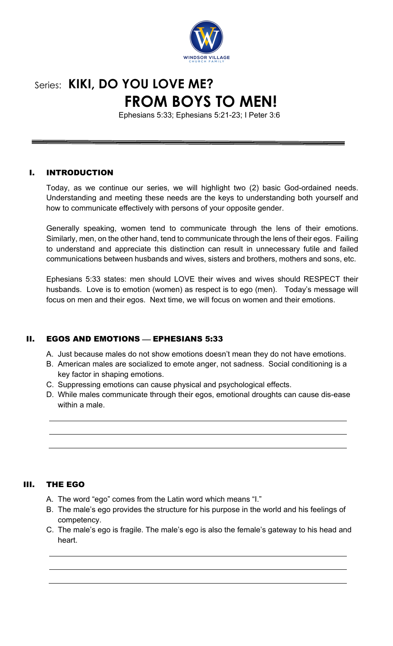

# Series: **KIKI, DO YOU LOVE ME? FROM BOYS TO MEN!**

Ephesians 5:33; Ephesians 5:21-23; I Peter 3:6

### I. INTRODUCTION

Today, as we continue our series, we will highlight two (2) basic God-ordained needs. Understanding and meeting these needs are the keys to understanding both yourself and how to communicate effectively with persons of your opposite gender.

Generally speaking, women tend to communicate through the lens of their emotions. Similarly, men, on the other hand, tend to communicate through the lens of their egos. Failing to understand and appreciate this distinction can result in unnecessary futile and failed communications between husbands and wives, sisters and brothers, mothers and sons, etc.

Ephesians 5:33 states: men should LOVE their wives and wives should RESPECT their husbands. Love is to emotion (women) as respect is to ego (men). Today's message will focus on men and their egos. Next time, we will focus on women and their emotions.

# II. EGOS AND EMOTIONS - EPHESIANS 5:33

A. Just because males do not show emotions doesn't mean they do not have emotions.

- B. American males are socialized to emote anger, not sadness. Social conditioning is a key factor in shaping emotions.
- C. Suppressing emotions can cause physical and psychological effects.
- D. While males communicate through their egos, emotional droughts can cause dis-ease within a male.

#### III. THE EGO

- A. The word "ego" comes from the Latin word which means "I."
- B. The male's ego provides the structure for his purpose in the world and his feelings of competency.
- C. The male's ego is fragile. The male's ego is also the female's gateway to his head and heart.